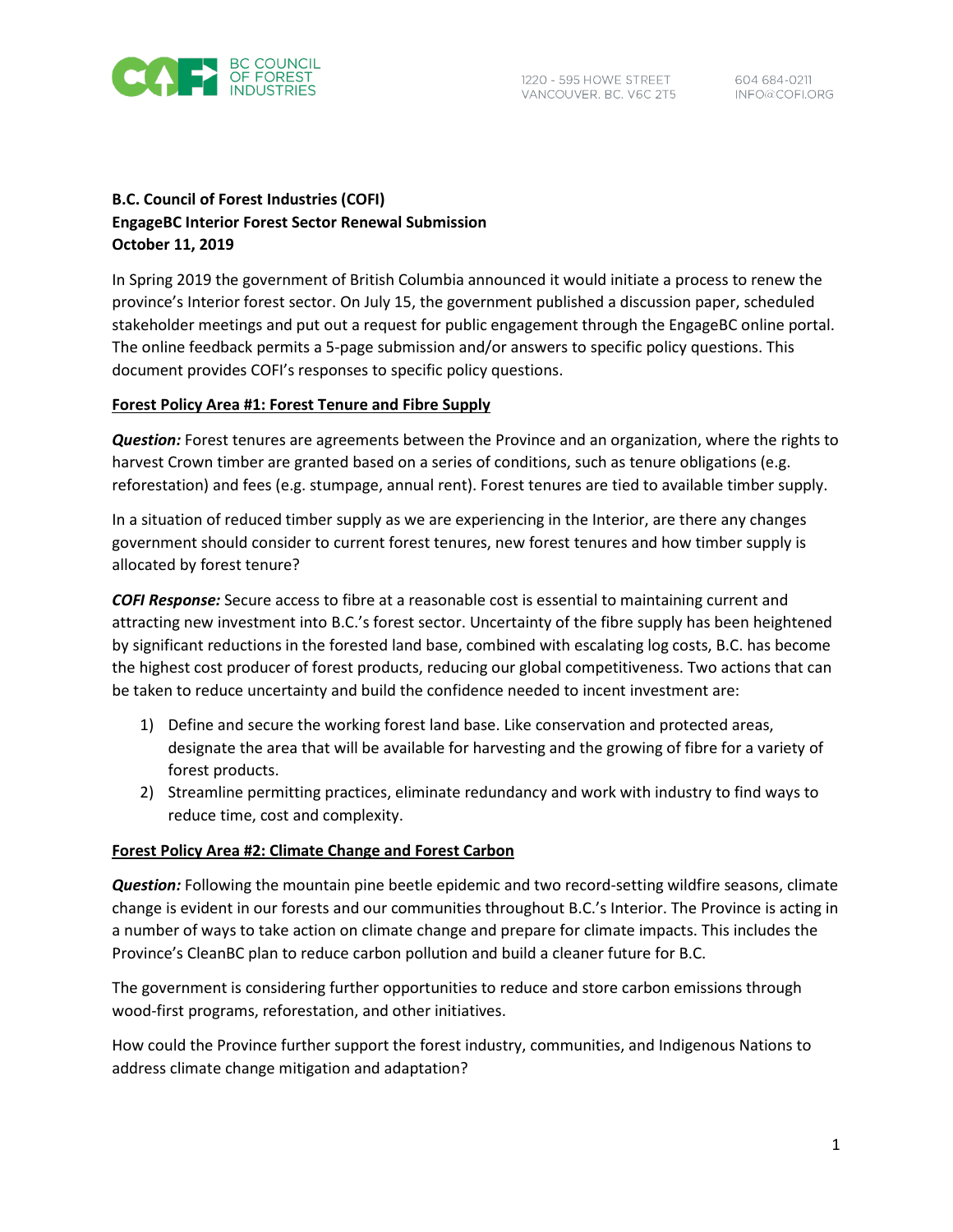

# **B.C. Council of Forest Industries (COFI) EngageBC Interior Forest Sector Renewal Submission October 11, 2019**

In Spring 2019 the government of British Columbia announced it would initiate a process to renew the province's Interior forest sector. On July 15, the government published a discussion paper, scheduled stakeholder meetings and put out a request for public engagement through the EngageBC online portal. The online feedback permits a 5-page submission and/or answers to specific policy questions. This document provides COFI's responses to specific policy questions.

## **Forest Policy Area #1: Forest Tenure and Fibre Supply**

*Question:* Forest tenures are agreements between the Province and an organization, where the rights to harvest Crown timber are granted based on a series of conditions, such as tenure obligations (e.g. reforestation) and fees (e.g. stumpage, annual rent). Forest tenures are tied to available timber supply.

In a situation of reduced timber supply as we are experiencing in the Interior, are there any changes government should consider to current forest tenures, new forest tenures and how timber supply is allocated by forest tenure?

*COFI Response:* Secure access to fibre at a reasonable cost is essential to maintaining current and attracting new investment into B.C.'s forest sector. Uncertainty of the fibre supply has been heightened by significant reductions in the forested land base, combined with escalating log costs, B.C. has become the highest cost producer of forest products, reducing our global competitiveness. Two actions that can be taken to reduce uncertainty and build the confidence needed to incent investment are:

- 1) Define and secure the working forest land base. Like conservation and protected areas, designate the area that will be available for harvesting and the growing of fibre for a variety of forest products.
- 2) Streamline permitting practices, eliminate redundancy and work with industry to find ways to reduce time, cost and complexity.

# **Forest Policy Area #2: Climate Change and Forest Carbon**

*Question:* Following the mountain pine beetle epidemic and two record-setting wildfire seasons, climate change is evident in our forests and our communities throughout B.C.'s Interior. The Province is acting in a number of ways to take action on climate change and prepare for climate impacts. This includes the Province's CleanBC plan to reduce carbon pollution and build a cleaner future for B.C.

The government is considering further opportunities to reduce and store carbon emissions through wood-first programs, reforestation, and other initiatives.

How could the Province further support the forest industry, communities, and Indigenous Nations to address climate change mitigation and adaptation?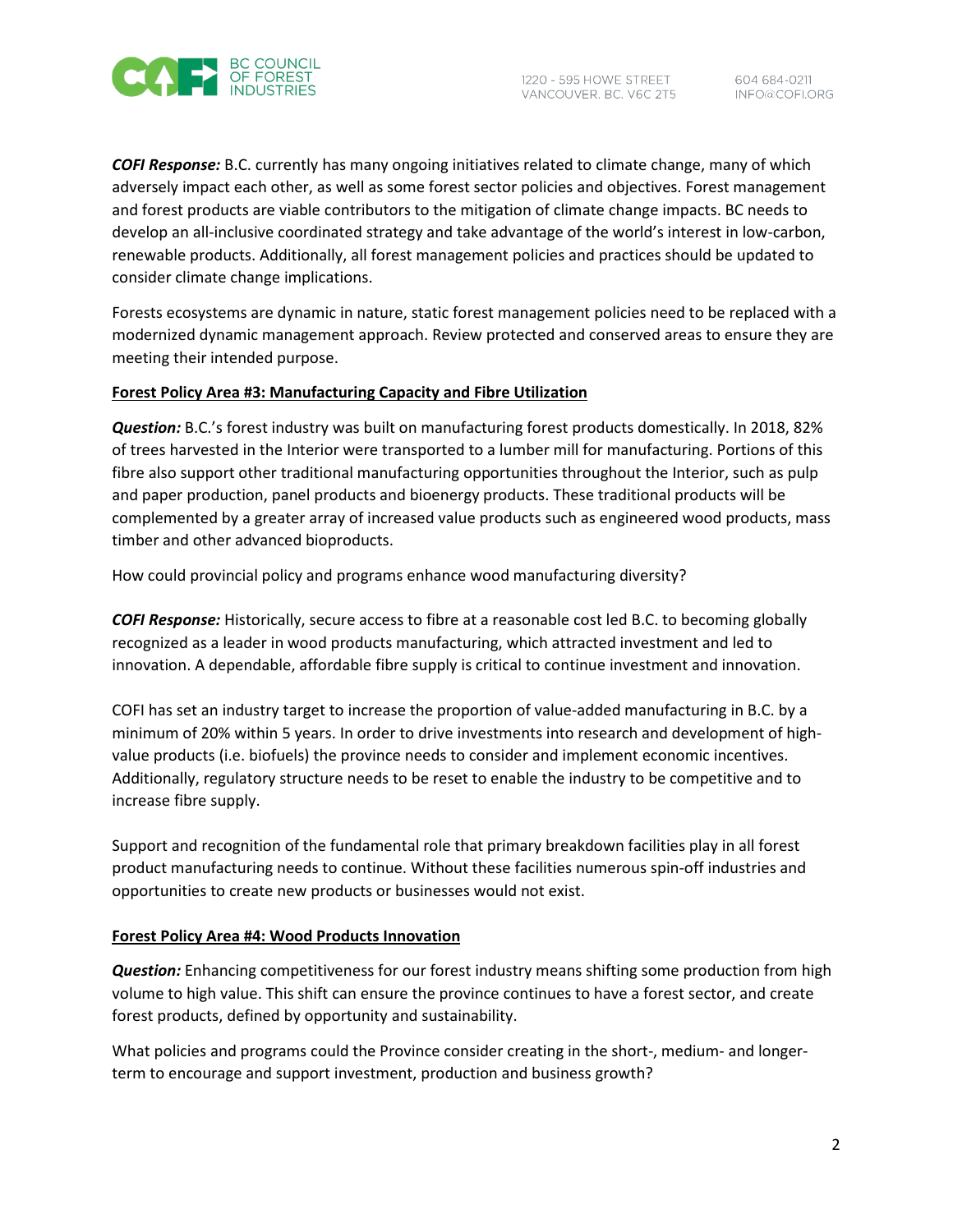

*COFI Response:* B.C. currently has many ongoing initiatives related to climate change, many of which adversely impact each other, as well as some forest sector policies and objectives. Forest management and forest products are viable contributors to the mitigation of climate change impacts. BC needs to develop an all-inclusive coordinated strategy and take advantage of the world's interest in low-carbon, renewable products. Additionally, all forest management policies and practices should be updated to consider climate change implications.

Forests ecosystems are dynamic in nature, static forest management policies need to be replaced with a modernized dynamic management approach. Review protected and conserved areas to ensure they are meeting their intended purpose.

### **Forest Policy Area #3: Manufacturing Capacity and Fibre Utilization**

*Question:* B.C.'s forest industry was built on manufacturing forest products domestically. In 2018, 82% of trees harvested in the Interior were transported to a lumber mill for manufacturing. Portions of this fibre also support other traditional manufacturing opportunities throughout the Interior, such as pulp and paper production, panel products and bioenergy products. These traditional products will be complemented by a greater array of increased value products such as engineered wood products, mass timber and other advanced bioproducts.

How could provincial policy and programs enhance wood manufacturing diversity?

*COFI Response:* Historically, secure access to fibre at a reasonable cost led B.C. to becoming globally recognized as a leader in wood products manufacturing, which attracted investment and led to innovation. A dependable, affordable fibre supply is critical to continue investment and innovation.

COFI has set an industry target to increase the proportion of value-added manufacturing in B.C. by a minimum of 20% within 5 years. In order to drive investments into research and development of highvalue products (i.e. biofuels) the province needs to consider and implement economic incentives. Additionally, regulatory structure needs to be reset to enable the industry to be competitive and to increase fibre supply.

Support and recognition of the fundamental role that primary breakdown facilities play in all forest product manufacturing needs to continue. Without these facilities numerous spin-off industries and opportunities to create new products or businesses would not exist.

### **Forest Policy Area #4: Wood Products Innovation**

*Question:* Enhancing competitiveness for our forest industry means shifting some production from high volume to high value. This shift can ensure the province continues to have a forest sector, and create forest products, defined by opportunity and sustainability.

What policies and programs could the Province consider creating in the short-, medium- and longerterm to encourage and support investment, production and business growth?